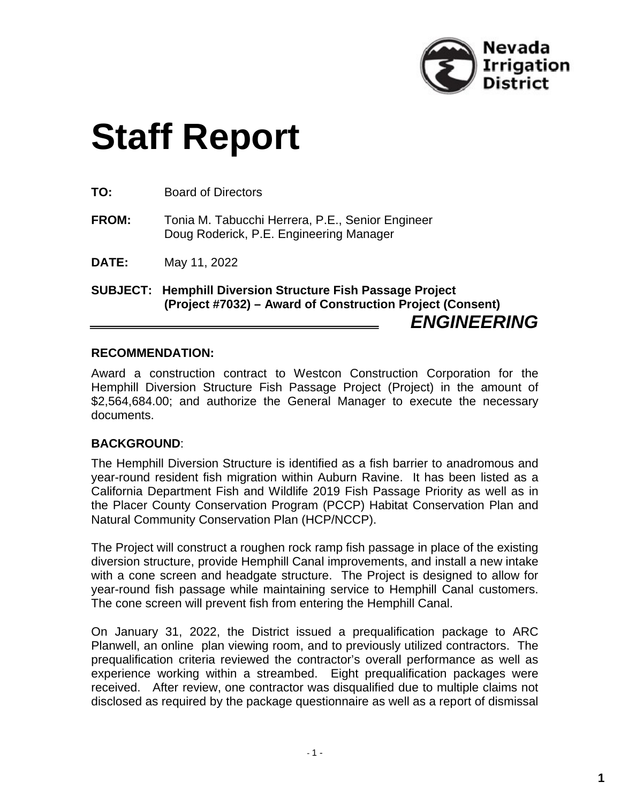

## **Staff Report**

**TO:** Board of Directors

- **FROM:** Tonia M. Tabucchi Herrera, P.E., Senior Engineer Doug Roderick, P.E. Engineering Manager
- **DATE:** May 11, 2022

**SUBJECT: Hemphill Diversion Structure Fish Passage Project (Project #7032) – Award of Construction Project (Consent)** *ENGINEERING*

## **RECOMMENDATION:**

Award a construction contract to Westcon Construction Corporation for the Hemphill Diversion Structure Fish Passage Project (Project) in the amount of \$2,564,684.00; and authorize the General Manager to execute the necessary documents.

## **BACKGROUND**:

The Hemphill Diversion Structure is identified as a fish barrier to anadromous and year-round resident fish migration within Auburn Ravine. It has been listed as a California Department Fish and Wildlife 2019 Fish Passage Priority as well as in the Placer County Conservation Program (PCCP) Habitat Conservation Plan and Natural Community Conservation Plan (HCP/NCCP).

The Project will construct a roughen rock ramp fish passage in place of the existing diversion structure, provide Hemphill Canal improvements, and install a new intake with a cone screen and headgate structure. The Project is designed to allow for year-round fish passage while maintaining service to Hemphill Canal customers. The cone screen will prevent fish from entering the Hemphill Canal.

On January 31, 2022, the District issued a prequalification package to ARC Planwell, an online plan viewing room, and to previously utilized contractors. The prequalification criteria reviewed the contractor's overall performance as well as experience working within a streambed. Eight prequalification packages were received. After review, one contractor was disqualified due to multiple claims not disclosed as required by the package questionnaire as well as a report of dismissal